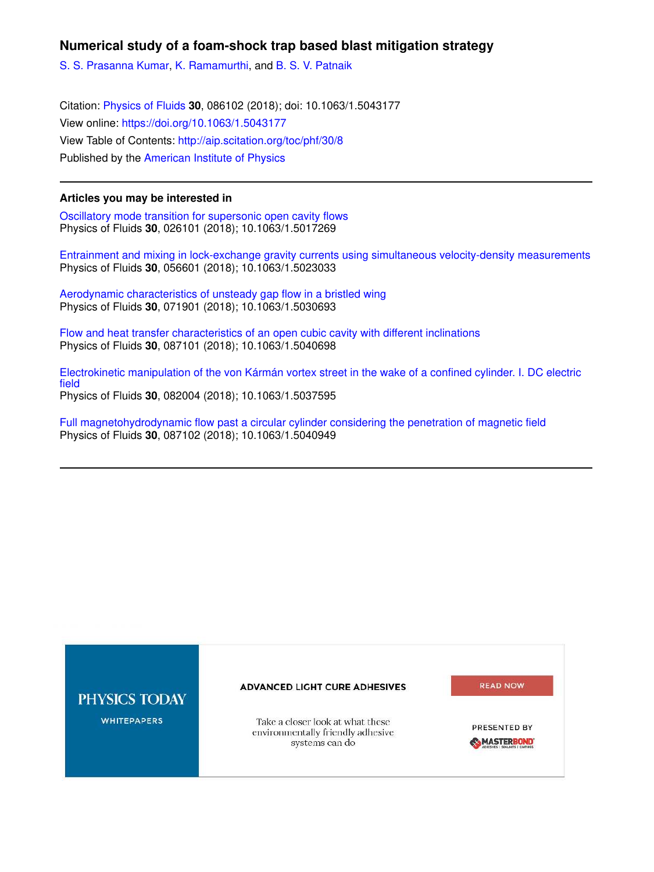# **Numerical study of a foam-shock trap based blast mitigation strategy**

S. S. Prasanna Kumar, K. Ramamurthi, and B. S. V. Patnaik

Citation: Physics of Fluids **30**, 086102 (2018); doi: 10.1063/1.5043177 View online: https://doi.org/10.1063/1.5043177 View Table of Contents: http://aip.scitation.org/toc/phf/30/8 Published by the American Institute of Physics

## **Articles you may be interested in**

Oscillatory mode transition for supersonic open cavity flows Physics of Fluids **30**, 026101 (2018); 10.1063/1.5017269

Entrainment and mixing in lock-exchange gravity currents using simultaneous velocity-density measurements Physics of Fluids **30**, 056601 (2018); 10.1063/1.5023033

Aerodynamic characteristics of unsteady gap flow in a bristled wing Physics of Fluids **30**, 071901 (2018); 10.1063/1.5030693

Flow and heat transfer characteristics of an open cubic cavity with different inclinations Physics of Fluids **30**, 087101 (2018); 10.1063/1.5040698

Electrokinetic manipulation of the von Kármán vortex street in the wake of a confined cylinder. I. DC electric field Physics of Fluids **30**, 082004 (2018); 10.1063/1.5037595

Full magnetohydrodynamic flow past a circular cylinder considering the penetration of magnetic field Physics of Fluids **30**, 087102 (2018); 10.1063/1.5040949

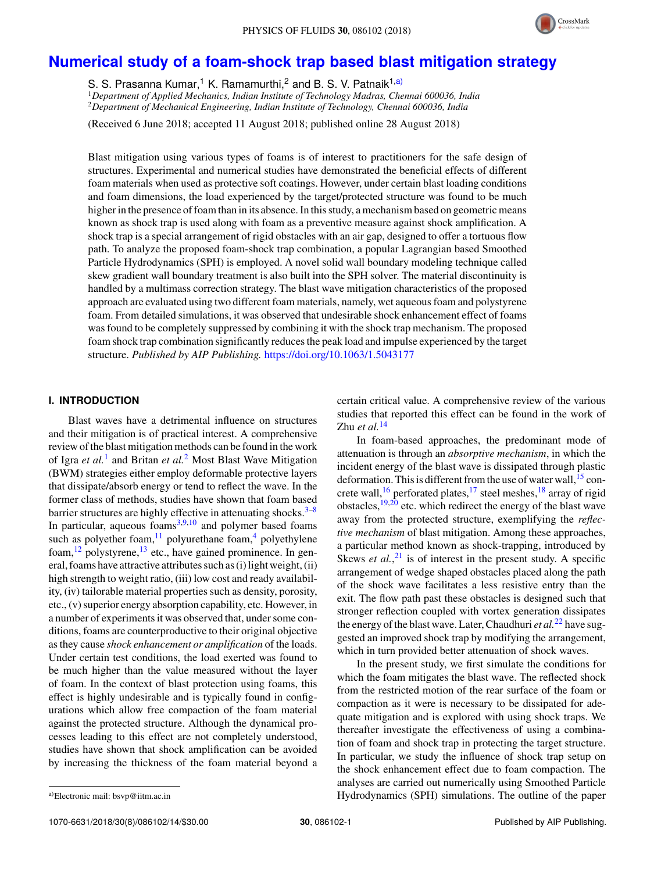

# **Numerical study of a foam-shock trap based blast mitigation strategy**

S. S. Prasanna Kumar,<sup>1</sup> K. Ramamurthi,<sup>2</sup> and B. S. V. Patnaik<sup>1,a)</sup>

<sup>1</sup>*Department of Applied Mechanics, Indian Institute of Technology Madras, Chennai 600036, India* <sup>2</sup>*Department of Mechanical Engineering, Indian Institute of Technology, Chennai 600036, India*

(Received 6 June 2018; accepted 11 August 2018; published online 28 August 2018)

Blast mitigation using various types of foams is of interest to practitioners for the safe design of structures. Experimental and numerical studies have demonstrated the beneficial effects of different foam materials when used as protective soft coatings. However, under certain blast loading conditions and foam dimensions, the load experienced by the target/protected structure was found to be much higher in the presence of foam than in its absence. In this study, a mechanism based on geometric means known as shock trap is used along with foam as a preventive measure against shock amplification. A shock trap is a special arrangement of rigid obstacles with an air gap, designed to offer a tortuous flow path. To analyze the proposed foam-shock trap combination, a popular Lagrangian based Smoothed Particle Hydrodynamics (SPH) is employed. A novel solid wall boundary modeling technique called skew gradient wall boundary treatment is also built into the SPH solver. The material discontinuity is handled by a multimass correction strategy. The blast wave mitigation characteristics of the proposed approach are evaluated using two different foam materials, namely, wet aqueous foam and polystyrene foam. From detailed simulations, it was observed that undesirable shock enhancement effect of foams was found to be completely suppressed by combining it with the shock trap mechanism. The proposed foam shock trap combination significantly reduces the peak load and impulse experienced by the target structure. *Published by AIP Publishing.* https://doi.org/10.1063/1.5043177

## **I. INTRODUCTION**

Blast waves have a detrimental influence on structures and their mitigation is of practical interest. A comprehensive review of the blast mitigation methods can be found in the work of Igra *et al.*<sup>1</sup> and Britan *et al.*<sup>2</sup> Most Blast Wave Mitigation (BWM) strategies either employ deformable protective layers that dissipate/absorb energy or tend to reflect the wave. In the former class of methods, studies have shown that foam based barrier structures are highly effective in attenuating shocks. $3-8$ In particular, aqueous foams $3,9,10$  and polymer based foams such as polyether foam, $11$  polyurethane foam, $4$  polyethylene foam, $^{12}$  polystyrene, $^{13}$  etc., have gained prominence. In general, foams have attractive attributes such as (i) light weight, (ii) high strength to weight ratio, (iii) low cost and ready availability, (iv) tailorable material properties such as density, porosity, etc., (v) superior energy absorption capability, etc. However, in a number of experiments it was observed that, under some conditions, foams are counterproductive to their original objective as they cause *shock enhancement or amplification* of the loads. Under certain test conditions, the load exerted was found to be much higher than the value measured without the layer of foam. In the context of blast protection using foams, this effect is highly undesirable and is typically found in configurations which allow free compaction of the foam material against the protected structure. Although the dynamical processes leading to this effect are not completely understood, studies have shown that shock amplification can be avoided by increasing the thickness of the foam material beyond a

certain critical value. A comprehensive review of the various studies that reported this effect can be found in the work of Zhu *et al.*<sup>14</sup>

In foam-based approaches, the predominant mode of attenuation is through an *absorptive mechanism*, in which the incident energy of the blast wave is dissipated through plastic deformation. This is different from the use of water wall,  $^{15}$  concrete wall,<sup>16</sup> perforated plates,<sup>17</sup> steel meshes,<sup>18</sup> array of rigid obstacles, $19,20$  etc. which redirect the energy of the blast wave away from the protected structure, exemplifying the *reflective mechanism* of blast mitigation. Among these approaches, a particular method known as shock-trapping, introduced by Skews *et al.*, $^{21}$  is of interest in the present study. A specific arrangement of wedge shaped obstacles placed along the path of the shock wave facilitates a less resistive entry than the exit. The flow path past these obstacles is designed such that stronger reflection coupled with vortex generation dissipates the energy of the blast wave. Later, Chaudhuri *et al.*<sup>22</sup> have suggested an improved shock trap by modifying the arrangement, which in turn provided better attenuation of shock waves.

In the present study, we first simulate the conditions for which the foam mitigates the blast wave. The reflected shock from the restricted motion of the rear surface of the foam or compaction as it were is necessary to be dissipated for adequate mitigation and is explored with using shock traps. We thereafter investigate the effectiveness of using a combination of foam and shock trap in protecting the target structure. In particular, we study the influence of shock trap setup on the shock enhancement effect due to foam compaction. The analyses are carried out numerically using Smoothed Particle Hydrodynamics (SPH) simulations. The outline of the paper

a)Electronic mail: bsvp@iitm.ac.in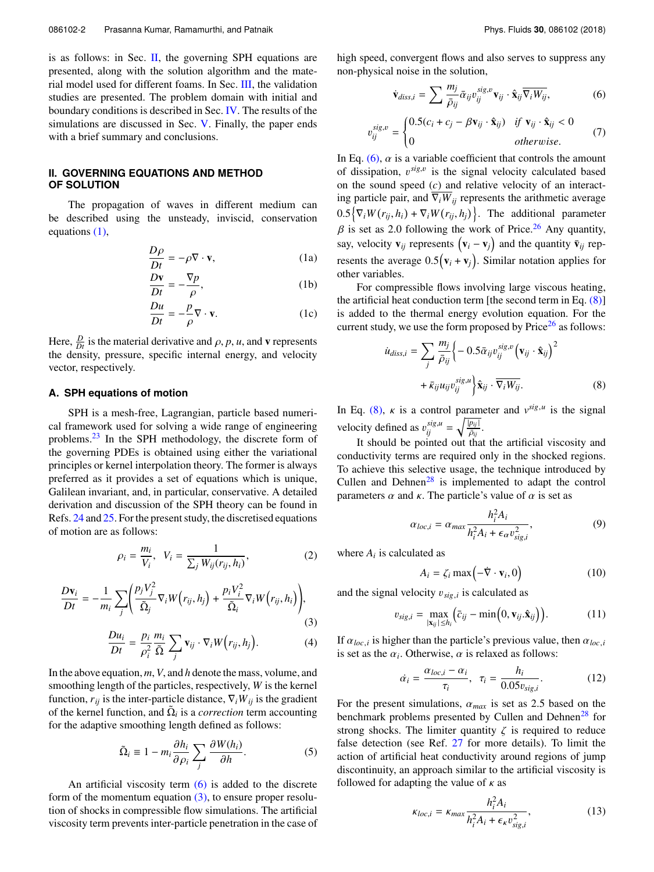is as follows: in Sec.  $II$ , the governing SPH equations are presented, along with the solution algorithm and the material model used for different foams. In Sec. III, the validation studies are presented. The problem domain with initial and boundary conditions is described in Sec. IV. The results of the simulations are discussed in Sec. V. Finally, the paper ends with a brief summary and conclusions.

## **II. GOVERNING EQUATIONS AND METHOD OF SOLUTION**

The propagation of waves in different medium can be described using the unsteady, inviscid, conservation equations (1),

$$
\frac{D\rho}{Dt} = -\rho \nabla \cdot \mathbf{v},\qquad(1a)
$$

$$
\frac{D\mathbf{v}}{Dt} = -\frac{\nabla p}{\rho},\tag{1b}
$$

$$
\frac{Du}{Dt} = -\frac{p}{\rho}\nabla \cdot \mathbf{v}.\tag{1c}
$$

Here,  $\frac{D}{Dt}$  is the material derivative and  $\rho$ ,  $p$ ,  $u$ , and **v** represents the density, pressure, specific internal energy, and velocity vector, respectively.

## **A. SPH equations of motion**

SPH is a mesh-free, Lagrangian, particle based numerical framework used for solving a wide range of engineering problems.<sup>23</sup> In the SPH methodology, the discrete form of the governing PDEs is obtained using either the variational principles or kernel interpolation theory. The former is always preferred as it provides a set of equations which is unique, Galilean invariant, and, in particular, conservative. A detailed derivation and discussion of the SPH theory can be found in Refs. 24 and 25. For the present study, the discretised equations of motion are as follows:

$$
\rho_i = \frac{m_i}{V_i}, \ \ V_i = \frac{1}{\sum_j W_{ij}(r_{ij}, h_i)},\tag{2}
$$

$$
\frac{D\mathbf{v}_i}{Dt} = -\frac{1}{m_i} \sum_j \left( \frac{p_j V_j^2}{\tilde{\Omega}_j} \nabla_i W(r_{ij}, h_j) + \frac{p_i V_i^2}{\tilde{\Omega}_i} \nabla_i W(r_{ij}, h_i) \right),\tag{3}
$$

$$
\frac{D u_i}{D t} = \frac{p_i}{\rho_i^2} \frac{m_i}{\tilde{\Omega}} \sum_j \mathbf{v}_{ij} \cdot \nabla_i W(r_{ij}, h_j).
$$
 (4)

In the above equation, *m*,*V*, and *h* denote the mass, volume, and smoothing length of the particles, respectively, *W* is the kernel function,  $r_{ij}$  is the inter-particle distance,  $\nabla_i W_{ij}$  is the gradient of the kernel function, and  $\tilde{\Omega}_i$  is a *correction* term accounting for the adaptive smoothing length defined as follows:

$$
\tilde{\Omega}_i \equiv 1 - m_i \frac{\partial h_i}{\partial \rho_i} \sum_j \frac{\partial W(h_i)}{\partial h}.
$$
 (5)

An artificial viscosity term  $(6)$  is added to the discrete form of the momentum equation  $(3)$ , to ensure proper resolution of shocks in compressible flow simulations. The artificial viscosity term prevents inter-particle penetration in the case of high speed, convergent flows and also serves to suppress any non-physical noise in the solution,

$$
\dot{\mathbf{v}}_{diss,i} = \sum \frac{m_j}{\bar{\rho}_{ij}} \bar{\alpha}_{ij} v_{ij}^{sig,v} \mathbf{v}_{ij} \cdot \hat{\mathbf{x}}_{ij} \overline{\nabla_i W_{ij}},
$$
(6)

$$
v_{ij}^{sig,v} = \begin{cases} 0.5(c_i + c_j - \beta \mathbf{v}_{ij} \cdot \hat{\mathbf{x}}_{ij}) & \text{if } \mathbf{v}_{ij} \cdot \hat{\mathbf{x}}_{ij} < 0\\ 0 & \text{otherwise.} \end{cases}
$$
(7)

In Eq.  $(6)$ ,  $\alpha$  is a variable coefficient that controls the amount of dissipation,  $v^{sig,v}$  is the signal velocity calculated based on the sound speed (*c*) and relative velocity of an interacting particle pair, and  $\nabla_i W_{ij}$  represents the arithmetic average  $0.5\{\nabla_i W(r_{ij}, h_i) + \nabla_i W(r_{ij}, h_j)\}$ . The additional parameter  $\beta$  is set as 2.0 following the work of Price.<sup>26</sup> Any quantity, say, velocity  $\mathbf{v}_{ij}$  represents  $(\mathbf{v}_i - \mathbf{v}_j)$  and the quantity  $\bar{\mathbf{v}}_{ij}$  represents the average  $0.5(\mathbf{v}_i + \mathbf{v}_j)$ . Similar notation applies for other variables.

For compressible flows involving large viscous heating, the artificial heat conduction term [the second term in Eq. (8)] is added to the thermal energy evolution equation. For the current study, we use the form proposed by  $Price<sup>26</sup>$  as follows:

$$
\dot{u}_{diss,i} = \sum_{j} \frac{m_j}{\bar{\rho}_{ij}} \left\{ -0.5 \bar{\alpha}_{ij} v_{ij}^{sig,v} \left( \mathbf{v}_{ij} \cdot \hat{\mathbf{x}}_{ij} \right)^2 + \bar{\kappa}_{ij} u_{ij} v_{ij}^{sig,u} \right\} \hat{\mathbf{x}}_{ij} \cdot \overline{\nabla_i W_{ij}}.
$$
\n(8)

In Eq. (8),  $\kappa$  is a control parameter and  $v^{sig,u}$  is the signal velocity defined as  $v_{ij}^{sig,u} = \sqrt{\frac{|p_{ij}|}{\bar{\rho}_{ij}}}$ .

It should be pointed out that the artificial viscosity and conductivity terms are required only in the shocked regions. To achieve this selective usage, the technique introduced by Cullen and Dehnen<sup>28</sup> is implemented to adapt the control parameters  $\alpha$  and  $\kappa$ . The particle's value of  $\alpha$  is set as

$$
\alpha_{loc,i} = \alpha_{max} \frac{h_i^2 A_i}{h_i^2 A_i + \epsilon_\alpha v_{sig,i}^2},\tag{9}
$$

where  $A_i$  is calculated as

$$
A_i = \zeta_i \max(-\dot{\nabla} \cdot \mathbf{v}_i, 0)
$$
 (10)

and the signal velocity v*sig*,*<sup>i</sup>* is calculated as

$$
v_{sig,i} = \max_{|\mathbf{x}_{ij}| \leq h_i} (\bar{c}_{ij} - \min\big(0, \mathbf{v}_{ij}.\hat{\mathbf{x}}_{ij}\big)\big).
$$
 (11)

If  $\alpha_{loc,i}$  is higher than the particle's previous value, then  $\alpha_{loc,i}$ is set as the  $\alpha_i$ . Otherwise,  $\alpha$  is relaxed as follows:

$$
\dot{\alpha_i} = \frac{\alpha_{loc,i} - \alpha_i}{\tau_i}, \quad \tau_i = \frac{h_i}{0.05v_{sig,i}}.\tag{12}
$$

For the present simulations,  $\alpha_{max}$  is set as 2.5 based on the benchmark problems presented by Cullen and Dehnen<sup>28</sup> for strong shocks. The limiter quantity  $\zeta$  is required to reduce false detection (see Ref. 27 for more details). To limit the action of artificial heat conductivity around regions of jump discontinuity, an approach similar to the artificial viscosity is followed for adapting the value of  $\kappa$  as

$$
\kappa_{loc,i} = \kappa_{max} \frac{h_i^2 A_i}{h_i^2 A_i + \epsilon_{\kappa} v_{sig,i}^2},
$$
\n(13)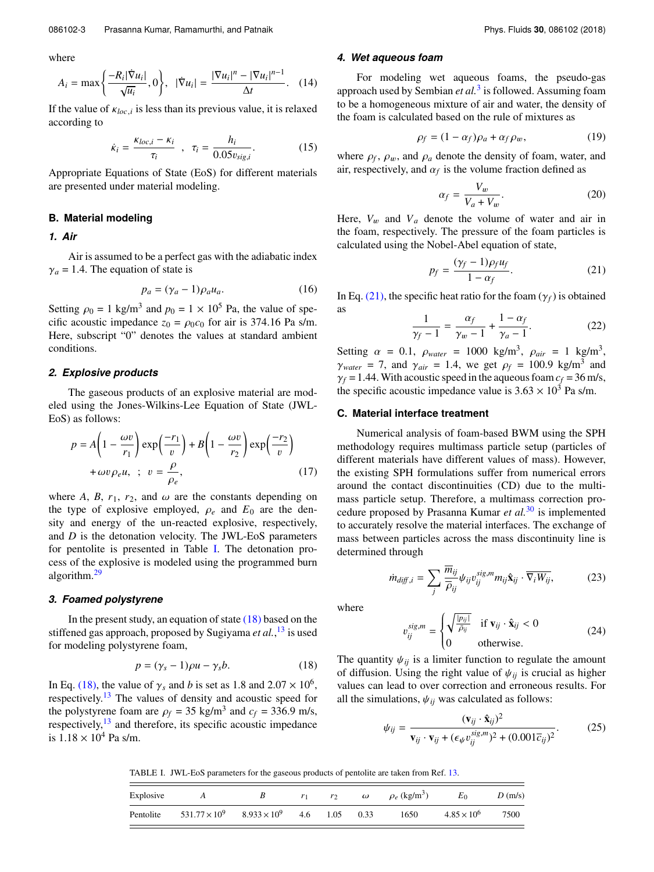where

$$
A_i = \max\left\{\frac{-R_i|\dot{\nabla}u_i|}{\sqrt{u_i}}, 0\right\}, \quad |\dot{\nabla}u_i| = \frac{|\nabla u_i|^n - |\nabla u_i|^{n-1}}{\Delta t}.
$$
 (14)

If the value of  $\kappa_{loc,i}$  is less than its previous value, it is relaxed according to

$$
\dot{\kappa}_i = \frac{\kappa_{loc,i} - \kappa_i}{\tau_i} \quad , \quad \tau_i = \frac{h_i}{0.05 v_{sig,i}}. \tag{15}
$$

Appropriate Equations of State (EoS) for different materials are presented under material modeling.

## **B. Material modeling**

## *1. Air*

Air is assumed to be a perfect gas with the adiabatic index  $\gamma_a = 1.4$ . The equation of state is

$$
p_a = (\gamma_a - 1)\rho_a u_a. \tag{16}
$$

Setting  $\rho_0 = 1$  kg/m<sup>3</sup> and  $p_0 = 1 \times 10^5$  Pa, the value of specific acoustic impedance  $z_0 = \rho_0 c_0$  for air is 374.16 Pa s/m. Here, subscript "0" denotes the values at standard ambient conditions.

#### *2. Explosive products*

The gaseous products of an explosive material are modeled using the Jones-Wilkins-Lee Equation of State (JWL-EoS) as follows:

$$
p = A \left( 1 - \frac{\omega v}{r_1} \right) \exp \left( \frac{-r_1}{v} \right) + B \left( 1 - \frac{\omega v}{r_2} \right) \exp \left( \frac{-r_2}{v} \right)
$$

$$
+ \omega v \rho_e u, \quad v = \frac{\rho}{\rho_e},\tag{17}
$$

where *A*, *B*,  $r_1$ ,  $r_2$ , and  $\omega$  are the constants depending on the type of explosive employed,  $\rho_e$  and  $E_0$  are the density and energy of the un-reacted explosive, respectively, and *D* is the detonation velocity. The JWL-EoS parameters for pentolite is presented in Table I. The detonation process of the explosive is modeled using the programmed burn algorithm.<sup>29</sup>

## *3. Foamed polystyrene*

In the present study, an equation of state  $(18)$  based on the stiffened gas approach, proposed by Sugiyama *et al.*, <sup>13</sup> is used for modeling polystyrene foam,

$$
p = (\gamma_s - 1)\rho u - \gamma_s b. \tag{18}
$$

In Eq. (18), the value of  $\gamma_s$  and *b* is set as 1.8 and 2.07  $\times$  10<sup>6</sup>, respectively.<sup>13</sup> The values of density and acoustic speed for the polystyrene foam are  $\rho_f = 35 \text{ kg/m}^3$  and  $c_f = 336.9 \text{ m/s}$ , respectively, $13$  and therefore, its specific acoustic impedance is  $1.18 \times 10^4$  Pa s/m.

#### *4. Wet aqueous foam*

For modeling wet aqueous foams, the pseudo-gas approach used by Sembian *et al.*<sup>3</sup> is followed. Assuming foam to be a homogeneous mixture of air and water, the density of the foam is calculated based on the rule of mixtures as

$$
\rho_f = (1 - \alpha_f)\rho_a + \alpha_f \rho_w, \qquad (19)
$$

where  $\rho_f$ ,  $\rho_w$ , and  $\rho_a$  denote the density of foam, water, and air, respectively, and  $\alpha_f$  is the volume fraction defined as

$$
\alpha_f = \frac{V_w}{V_a + V_w}.\tag{20}
$$

Here,  $V_w$  and  $V_a$  denote the volume of water and air in the foam, respectively. The pressure of the foam particles is calculated using the Nobel-Abel equation of state,

$$
p_f = \frac{(\gamma_f - 1)\rho_f u_f}{1 - \alpha_f}.\tag{21}
$$

In Eq. (21), the specific heat ratio for the foam ( $\gamma_f$ ) is obtained as

$$
\frac{1}{\gamma_f - 1} = \frac{\alpha_f}{\gamma_w - 1} + \frac{1 - \alpha_f}{\gamma_a - 1}.
$$
 (22)

Setting  $\alpha = 0.1$ ,  $\rho_{water} = 1000 \text{ kg/m}^3$ ,  $\rho_{air} = 1 \text{ kg/m}^3$ ,  $\gamma_{water}$  = 7, and  $\gamma_{air}$  = 1.4, we get  $\rho_f$  = 100.9 kg/m<sup>3</sup> and  $\gamma_f$  = 1.44. With acoustic speed in the aqueous foam  $c_f$  = 36 m/s, the specific acoustic impedance value is  $3.63 \times 10^3$  Pa s/m.

## **C. Material interface treatment**

Numerical analysis of foam-based BWM using the SPH methodology requires multimass particle setup (particles of different materials have different values of mass). However, the existing SPH formulations suffer from numerical errors around the contact discontinuities (CD) due to the multimass particle setup. Therefore, a multimass correction procedure proposed by Prasanna Kumar *et al.*<sup>30</sup> is implemented to accurately resolve the material interfaces. The exchange of mass between particles across the mass discontinuity line is determined through

$$
\dot{m}_{diff,i} = \sum_{j} \frac{\overline{m}_{ij}}{\overline{\rho}_{ij}} \psi_{ij} v_{ij}^{sig,m} m_{ij} \hat{\mathbf{x}}_{ij} \cdot \overline{\nabla_i W_{ij}},
$$
(23)

where

$$
v_{ij}^{sig,m} = \begin{cases} \sqrt{\frac{|p_{ij}|}{\tilde{\rho}_{ij}}} & \text{if } \mathbf{v}_{ij} \cdot \hat{\mathbf{x}}_{ij} < 0\\ 0 & \text{otherwise.} \end{cases}
$$
 (24)

The quantity  $\psi_{ij}$  is a limiter function to regulate the amount of diffusion. Using the right value of  $\psi_{ij}$  is crucial as higher values can lead to over correction and erroneous results. For all the simulations,  $\psi_{ii}$  was calculated as follows:

$$
\psi_{ij} = \frac{(\mathbf{v}_{ij} \cdot \hat{\mathbf{x}}_{ij})^2}{\mathbf{v}_{ij} \cdot \mathbf{v}_{ij} + (\epsilon_{\psi} v_{ij}^{sign})^2 + (0.001 \overline{c}_{ij})^2}.
$$
(25)

TABLE I. JWL-EoS parameters for the gaseous products of pentolite are taken from Ref. 13.

| Explosive |                      |                       |     | r <sub>2</sub> | $\omega$ | $\rho_e$ (kg/m <sup>3</sup> ) | $E_0$                | D(m/s) |
|-----------|----------------------|-----------------------|-----|----------------|----------|-------------------------------|----------------------|--------|
| Pentolite | $531.77 \times 10^9$ | $8.933 \times 10^{9}$ | 4.6 | 1.05           | 0.33     | 1650                          | $4.85 \times 10^{6}$ | 7500   |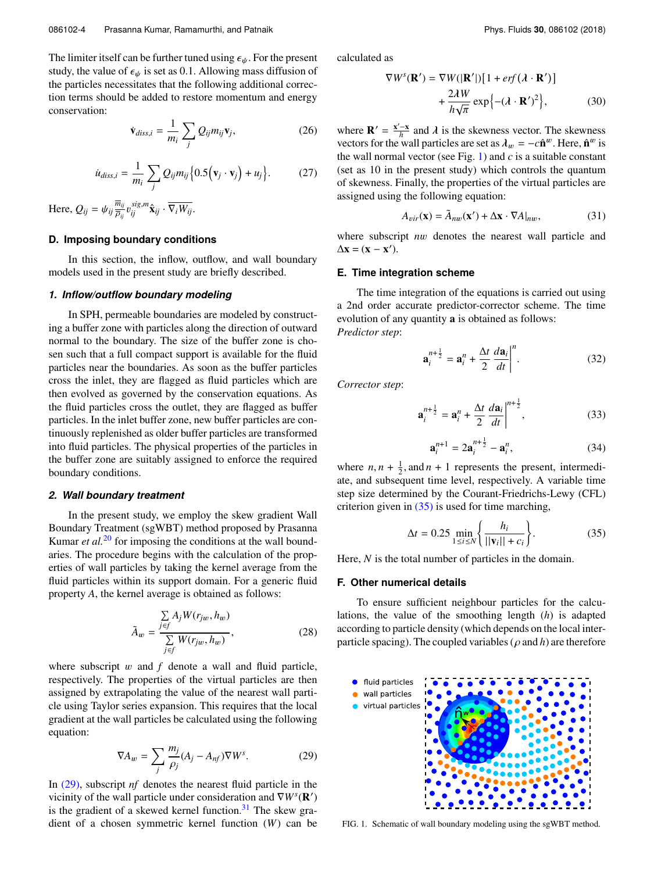086102-4 Prasanna Kumar, Ramamurthi, and Patnaik **Phys. Fluids 30, 086102** (2018)

The limiter itself can be further tuned using  $\epsilon_{\psi}$ . For the present study, the value of  $\epsilon_{\psi}$  is set as 0.1. Allowing mass diffusion of the particles necessitates that the following additional correction terms should be added to restore momentum and energy conservation:

$$
\dot{\mathbf{v}}_{diss,i} = \frac{1}{m_i} \sum_j Q_{ij} m_{ij} \mathbf{v}_j, \qquad (26)
$$

$$
\dot{u}_{diss,i} = \frac{1}{m_i} \sum_j Q_{ij} m_{ij} \{ 0.5 (\mathbf{v}_j \cdot \mathbf{v}_j) + u_j \}.
$$
 (27)

Here,  $Q_{ij} = \psi_{ij} \frac{\overline{m}_{ij}}{\overline{Q}_{ij}}$  $\frac{\overline{m}_{ij}}{\overline{\rho}_{ij}}v^{sig,m}_{ij}\mathbf{\hat{x}}_{ij}\cdot\overline{\nabla_{i}W_{ij}}.$ 

## **D. Imposing boundary conditions**

In this section, the inflow, outflow, and wall boundary models used in the present study are briefly described.

## *1. Inflow/outflow boundary modeling*

In SPH, permeable boundaries are modeled by constructing a buffer zone with particles along the direction of outward normal to the boundary. The size of the buffer zone is chosen such that a full compact support is available for the fluid particles near the boundaries. As soon as the buffer particles cross the inlet, they are flagged as fluid particles which are then evolved as governed by the conservation equations. As the fluid particles cross the outlet, they are flagged as buffer particles. In the inlet buffer zone, new buffer particles are continuously replenished as older buffer particles are transformed into fluid particles. The physical properties of the particles in the buffer zone are suitably assigned to enforce the required boundary conditions.

#### *2. Wall boundary treatment*

In the present study, we employ the skew gradient Wall Boundary Treatment (sgWBT) method proposed by Prasanna Kumar *et al.*<sup>20</sup> for imposing the conditions at the wall boundaries. The procedure begins with the calculation of the properties of wall particles by taking the kernel average from the fluid particles within its support domain. For a generic fluid property *A*, the kernel average is obtained as follows:

$$
\tilde{A}_w = \frac{\sum\limits_{j \in f} A_j W(r_{jw}, h_w)}{\sum\limits_{j \in f} W(r_{jw}, h_w)},
$$
\n(28)

where subscript w and *f* denote a wall and fluid particle, respectively. The properties of the virtual particles are then assigned by extrapolating the value of the nearest wall particle using Taylor series expansion. This requires that the local gradient at the wall particles be calculated using the following equation:

$$
\nabla A_w = \sum_j \frac{m_j}{\rho_j} (A_j - A_{nf}) \nabla W^s.
$$
 (29)

In (29), subscript *nf* denotes the nearest fluid particle in the vicinity of the wall particle under consideration and  $\nabla W<sup>s</sup>(\mathbf{R}')$ is the gradient of a skewed kernel function. $31$  The skew gradient of a chosen symmetric kernel function (*W*) can be calculated as

$$
\nabla W^{s}(\mathbf{R}') = \nabla W(|\mathbf{R}'|)[1 + erf(\lambda \cdot \mathbf{R}')] + \frac{2\lambda W}{h\sqrt{\pi}} \exp\left\{-(\lambda \cdot \mathbf{R}')^{2}\right\},
$$
(30)

where  $\mathbf{R}' = \frac{\mathbf{x}' - \mathbf{x}}{h}$  and  $\lambda$  is the skewness vector. The skewness vectors for the wall particles are set as  $\lambda_w = -c\hat{\mathbf{n}}^w$ . Here,  $\hat{\mathbf{n}}^w$  is the wall normal vector (see Fig.  $1$ ) and  $c$  is a suitable constant (set as 10 in the present study) which controls the quantum of skewness. Finally, the properties of the virtual particles are assigned using the following equation:

$$
A_{vir}(\mathbf{x}) = \tilde{A}_{nw}(\mathbf{x}') + \Delta \mathbf{x} \cdot \nabla A|_{nw},\tag{31}
$$

where subscript *n*w denotes the nearest wall particle and  $\Delta$ **x** = (**x** – **x**<sup> $\prime$ </sup>).

## **E. Time integration scheme**

The time integration of the equations is carried out using a 2nd order accurate predictor-corrector scheme. The time evolution of any quantity **a** is obtained as follows: *Predictor step*:

$$
\mathbf{a}_{i}^{n+\frac{1}{2}} = \mathbf{a}_{i}^{n} + \frac{\Delta t}{2} \frac{d\mathbf{a}_{i}}{dt} \bigg|^{n}.
$$
 (32)

*Corrector step*:

$$
\mathbf{a}_{i}^{n+\frac{1}{2}} = \mathbf{a}_{i}^{n} + \frac{\Delta t}{2} \frac{d\mathbf{a}_{i}}{dt} \bigg|^{n+\frac{1}{2}}, \tag{33}
$$

$$
\mathbf{a}_{i}^{n+1} = 2\mathbf{a}_{i}^{n+\frac{1}{2}} - \mathbf{a}_{i}^{n},
$$
 (34)

where  $n, n + \frac{1}{2}$ , and  $n + 1$  represents the present, intermediate, and subsequent time level, respectively. A variable time step size determined by the Courant-Friedrichs-Lewy (CFL) criterion given in  $(35)$  is used for time marching,

$$
\Delta t = 0.25 \min_{1 \le i \le N} \left\{ \frac{h_i}{||\mathbf{v}_i|| + c_i} \right\}.
$$
 (35)

Here, *N* is the total number of particles in the domain.

### **F. Other numerical details**

To ensure sufficient neighbour particles for the calculations, the value of the smoothing length (*h*) is adapted according to particle density (which depends on the local interparticle spacing). The coupled variables ( $\rho$  and  $h$ ) are therefore



FIG. 1. Schematic of wall boundary modeling using the sgWBT method.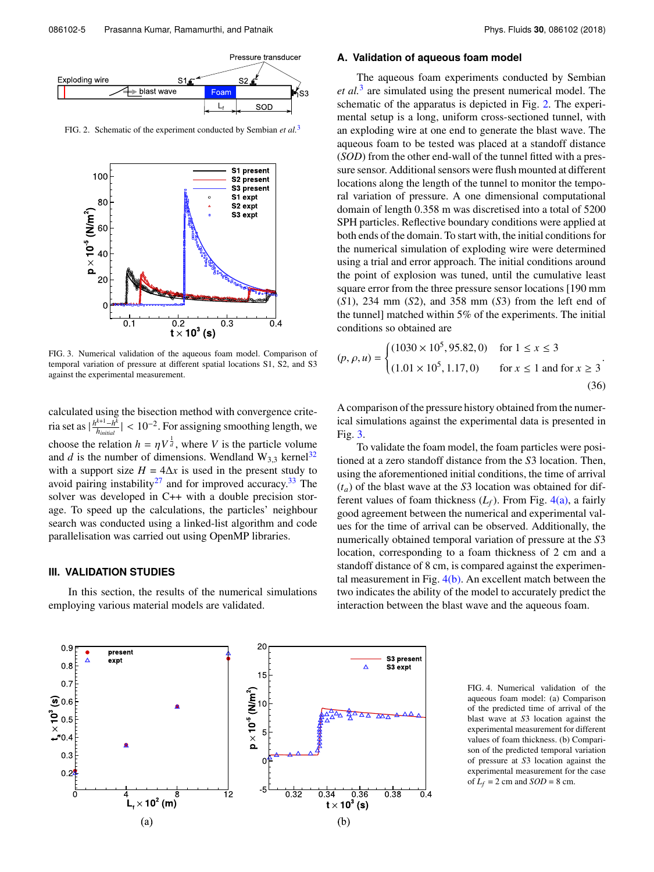

FIG. 2. Schematic of the experiment conducted by Sembian *et al.*<sup>3</sup>



FIG. 3. Numerical validation of the aqueous foam model. Comparison of temporal variation of pressure at different spatial locations S1, S2, and S3 against the experimental measurement.

calculated using the bisection method with convergence criteria set as  $|\frac{h^{k+1}-h^k}{h_{initial}}$  $\frac{k+1-h^k}{h_{initial}}$  | < 10<sup>-2</sup>. For assigning smoothing length, we choose the relation  $h = \eta V^{\frac{1}{d}}$ , where *V* is the particle volume and *d* is the number of dimensions. Wendland  $W_{3,3}$  kernel<sup>32</sup> with a support size  $H = 4\Delta x$  is used in the present study to avoid pairing instability<sup>27</sup> and for improved accuracy.<sup>33</sup> The solver was developed in C++ with a double precision storage. To speed up the calculations, the particles' neighbour search was conducted using a linked-list algorithm and code parallelisation was carried out using OpenMP libraries.

#### **III. VALIDATION STUDIES**

In this section, the results of the numerical simulations employing various material models are validated.

## **A. Validation of aqueous foam model**

The aqueous foam experiments conducted by Sembian *et al.*<sup>3</sup> are simulated using the present numerical model. The schematic of the apparatus is depicted in Fig. 2. The experimental setup is a long, uniform cross-sectioned tunnel, with an exploding wire at one end to generate the blast wave. The aqueous foam to be tested was placed at a standoff distance (*SOD*) from the other end-wall of the tunnel fitted with a pressure sensor. Additional sensors were flush mounted at different locations along the length of the tunnel to monitor the temporal variation of pressure. A one dimensional computational domain of length 0.358 m was discretised into a total of 5200 SPH particles. Reflective boundary conditions were applied at both ends of the domain. To start with, the initial conditions for the numerical simulation of exploding wire were determined using a trial and error approach. The initial conditions around the point of explosion was tuned, until the cumulative least square error from the three pressure sensor locations [190 mm (*S*1), 234 mm (*S*2), and 358 mm (*S*3) from the left end of the tunnel] matched within 5% of the experiments. The initial conditions so obtained are

$$
(p, \rho, u) = \begin{cases} (1030 \times 10^5, 95.82, 0) & \text{for } 1 \le x \le 3\\ (1.01 \times 10^5, 1.17, 0) & \text{for } x \le 1 \text{ and for } x \ge 3 \end{cases}
$$
 (36)

A comparison of the pressure history obtained from the numerical simulations against the experimental data is presented in Fig. 3.

To validate the foam model, the foam particles were positioned at a zero standoff distance from the *S*3 location. Then, using the aforementioned initial conditions, the time of arrival  $(t_a)$  of the blast wave at the *S*3 location was obtained for different values of foam thickness  $(L_f)$ . From Fig. 4(a), a fairly good agreement between the numerical and experimental values for the time of arrival can be observed. Additionally, the numerically obtained temporal variation of pressure at the *S*3 location, corresponding to a foam thickness of 2 cm and a standoff distance of 8 cm, is compared against the experimental measurement in Fig. 4(b). An excellent match between the two indicates the ability of the model to accurately predict the interaction between the blast wave and the aqueous foam.



FIG. 4. Numerical validation of the aqueous foam model: (a) Comparison of the predicted time of arrival of the blast wave at *S*3 location against the experimental measurement for different values of foam thickness. (b) Comparison of the predicted temporal variation of pressure at *S*3 location against the experimental measurement for the case of  $L_f = 2$  cm and  $SOD = 8$  cm.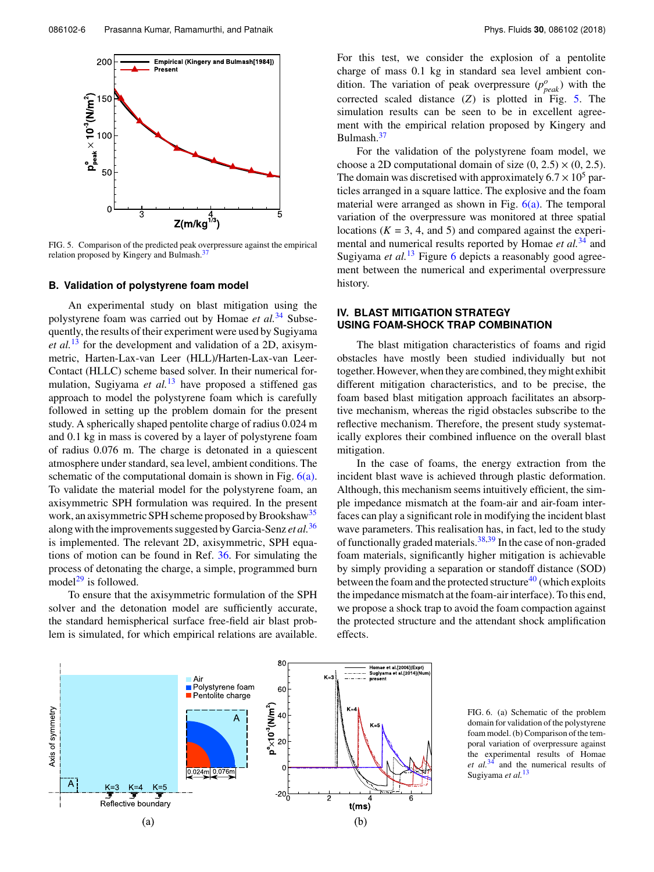

FIG. 5. Comparison of the predicted peak overpressure against the empirical relation proposed by Kingery and Bulmash. $37$ 

#### **B. Validation of polystyrene foam model**

An experimental study on blast mitigation using the polystyrene foam was carried out by Homae *et al.*<sup>34</sup> Subsequently, the results of their experiment were used by Sugiyama *et al.*<sup>13</sup> for the development and validation of a 2D, axisymmetric, Harten-Lax-van Leer (HLL)/Harten-Lax-van Leer-Contact (HLLC) scheme based solver. In their numerical formulation, Sugiyama *et al.*<sup>13</sup> have proposed a stiffened gas approach to model the polystyrene foam which is carefully followed in setting up the problem domain for the present study. A spherically shaped pentolite charge of radius 0.024 m and 0.1 kg in mass is covered by a layer of polystyrene foam of radius 0.076 m. The charge is detonated in a quiescent atmosphere under standard, sea level, ambient conditions. The schematic of the computational domain is shown in Fig.  $6(a)$ . To validate the material model for the polystyrene foam, an axisymmetric SPH formulation was required. In the present work, an axisymmetric SPH scheme proposed by Brookshaw<sup>35</sup> along with the improvements suggested by Garcia-Senz *et al.*<sup>36</sup> is implemented. The relevant 2D, axisymmetric, SPH equations of motion can be found in Ref. 36. For simulating the process of detonating the charge, a simple, programmed burn model<sup>29</sup> is followed.

To ensure that the axisymmetric formulation of the SPH solver and the detonation model are sufficiently accurate, the standard hemispherical surface free-field air blast problem is simulated, for which empirical relations are available.

For this test, we consider the explosion of a pentolite charge of mass 0.1 kg in standard sea level ambient condition. The variation of peak overpressure  $(p_{peak}^o)$  with the corrected scaled distance (*Z*) is plotted in Fig. 5. The simulation results can be seen to be in excellent agreement with the empirical relation proposed by Kingery and Bulmash.<sup>37</sup>

For the validation of the polystyrene foam model, we choose a 2D computational domain of size  $(0, 2.5) \times (0, 2.5)$ . The domain was discretised with approximately  $6.7 \times 10^5$  particles arranged in a square lattice. The explosive and the foam material were arranged as shown in Fig.  $6(a)$ . The temporal variation of the overpressure was monitored at three spatial locations  $(K = 3, 4, \text{ and } 5)$  and compared against the experimental and numerical results reported by Homae *et al.*<sup>34</sup> and Sugiyama *et al.*<sup>13</sup> Figure 6 depicts a reasonably good agreement between the numerical and experimental overpressure history.

# **IV. BLAST MITIGATION STRATEGY USING FOAM-SHOCK TRAP COMBINATION**

The blast mitigation characteristics of foams and rigid obstacles have mostly been studied individually but not together. However, when they are combined, they might exhibit different mitigation characteristics, and to be precise, the foam based blast mitigation approach facilitates an absorptive mechanism, whereas the rigid obstacles subscribe to the reflective mechanism. Therefore, the present study systematically explores their combined influence on the overall blast mitigation.

In the case of foams, the energy extraction from the incident blast wave is achieved through plastic deformation. Although, this mechanism seems intuitively efficient, the simple impedance mismatch at the foam-air and air-foam interfaces can play a significant role in modifying the incident blast wave parameters. This realisation has, in fact, led to the study of functionally graded materials.<sup>38,39</sup> In the case of non-graded foam materials, significantly higher mitigation is achievable by simply providing a separation or standoff distance (SOD) between the foam and the protected structure $40$  (which exploits the impedance mismatch at the foam-air interface). To this end, we propose a shock trap to avoid the foam compaction against the protected structure and the attendant shock amplification effects.



FIG. 6. (a) Schematic of the problem domain for validation of the polystyrene foam model. (b) Comparison of the temporal variation of overpressure against the experimental results of Homae *et al.*<sup>34</sup> and the numerical results of Sugiyama *et al.*<sup>13</sup>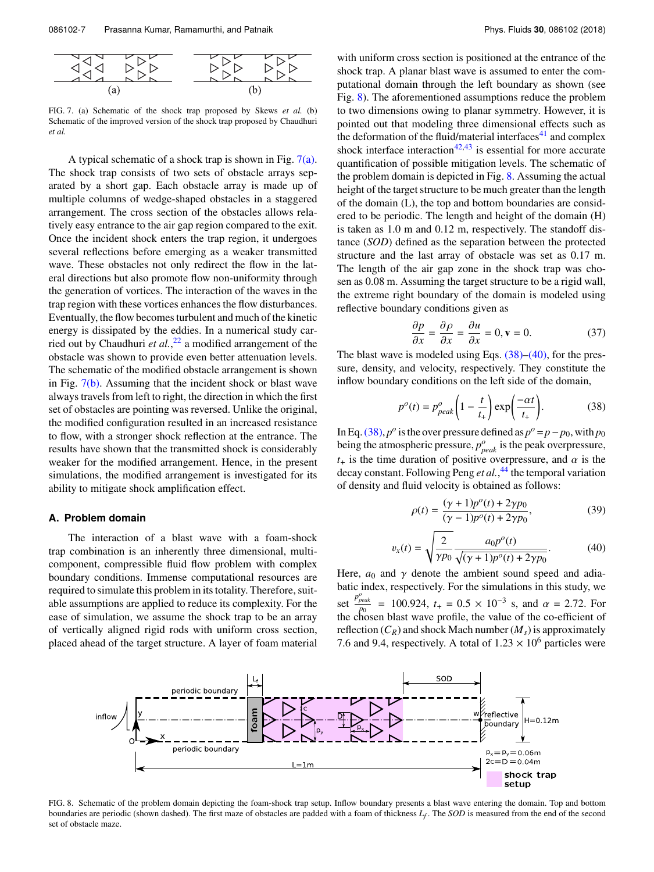FIG. 7. (a) Schematic of the shock trap proposed by Skews *et al.* (b) Schematic of the improved version of the shock trap proposed by Chaudhuri *et al.*

A typical schematic of a shock trap is shown in Fig. 7(a). The shock trap consists of two sets of obstacle arrays separated by a short gap. Each obstacle array is made up of multiple columns of wedge-shaped obstacles in a staggered arrangement. The cross section of the obstacles allows relatively easy entrance to the air gap region compared to the exit. Once the incident shock enters the trap region, it undergoes several reflections before emerging as a weaker transmitted wave. These obstacles not only redirect the flow in the lateral directions but also promote flow non-uniformity through the generation of vortices. The interaction of the waves in the trap region with these vortices enhances the flow disturbances. Eventually, the flow becomes turbulent and much of the kinetic energy is dissipated by the eddies. In a numerical study carried out by Chaudhuri *et al.*, <sup>22</sup> a modified arrangement of the obstacle was shown to provide even better attenuation levels. The schematic of the modified obstacle arrangement is shown in Fig. 7(b). Assuming that the incident shock or blast wave always travels from left to right, the direction in which the first set of obstacles are pointing was reversed. Unlike the original, the modified configuration resulted in an increased resistance to flow, with a stronger shock reflection at the entrance. The results have shown that the transmitted shock is considerably weaker for the modified arrangement. Hence, in the present simulations, the modified arrangement is investigated for its ability to mitigate shock amplification effect.

## **A. Problem domain**

The interaction of a blast wave with a foam-shock trap combination is an inherently three dimensional, multicomponent, compressible fluid flow problem with complex boundary conditions. Immense computational resources are required to simulate this problem in its totality. Therefore, suitable assumptions are applied to reduce its complexity. For the ease of simulation, we assume the shock trap to be an array of vertically aligned rigid rods with uniform cross section, placed ahead of the target structure. A layer of foam material

with uniform cross section is positioned at the entrance of the shock trap. A planar blast wave is assumed to enter the computational domain through the left boundary as shown (see Fig. 8). The aforementioned assumptions reduce the problem to two dimensions owing to planar symmetry. However, it is pointed out that modeling three dimensional effects such as the deformation of the fluid/material interfaces $41$  and complex shock interface interaction<sup>42,43</sup> is essential for more accurate quantification of possible mitigation levels. The schematic of the problem domain is depicted in Fig. 8. Assuming the actual height of the target structure to be much greater than the length of the domain (L), the top and bottom boundaries are considered to be periodic. The length and height of the domain (H) is taken as 1.0 m and 0.12 m, respectively. The standoff distance (*SOD*) defined as the separation between the protected structure and the last array of obstacle was set as 0.17 m. The length of the air gap zone in the shock trap was chosen as 0.08 m. Assuming the target structure to be a rigid wall, the extreme right boundary of the domain is modeled using reflective boundary conditions given as

$$
\frac{\partial p}{\partial x} = \frac{\partial \rho}{\partial x} = \frac{\partial u}{\partial x} = 0, \mathbf{v} = 0.
$$
 (37)

The blast wave is modeled using Eqs.  $(38)$ – $(40)$ , for the pressure, density, and velocity, respectively. They constitute the inflow boundary conditions on the left side of the domain,

$$
p^{o}(t) = p_{peak}^{o}\left(1 - \frac{t}{t_{+}}\right) \exp\left(\frac{-\alpha t}{t_{+}}\right). \tag{38}
$$

In Eq. (38),  $p^o$  is the over pressure defined as  $p^o = p - p_0$ , with  $p_0$ being the atmospheric pressure,  $p_{peak}^o$  is the peak overpressure,  $t_{+}$  is the time duration of positive overpressure, and  $\alpha$  is the decay constant. Following Peng *et al.*, <sup>44</sup> the temporal variation of density and fluid velocity is obtained as follows:

$$
\rho(t) = \frac{(\gamma + 1)p^{o}(t) + 2\gamma p_0}{(\gamma - 1)p^{o}(t) + 2\gamma p_0},
$$
\n(39)

$$
v_x(t) = \sqrt{\frac{2}{\gamma p_0}} \frac{a_0 p^o(t)}{\sqrt{(\gamma + 1)p^o(t) + 2\gamma p_0}}.
$$
 (40)

Here,  $a_0$  and  $\gamma$  denote the ambient sound speed and adiabatic index, respectively. For the simulations in this study, we set  $\frac{p_{peak}^o}{p_0}$  = 100.924,  $t_+ = 0.5 \times 10^{-3}$  s, and  $\alpha = 2.72$ . For the chosen blast wave profile, the value of the co-efficient of reflection  $(C_R)$  and shock Mach number  $(M_s)$  is approximately 7.6 and 9.4, respectively. A total of  $1.23 \times 10^6$  particles were



FIG. 8. Schematic of the problem domain depicting the foam-shock trap setup. Inflow boundary presents a blast wave entering the domain. Top and bottom boundaries are periodic (shown dashed). The first maze of obstacles are padded with a foam of thickness *L<sup>f</sup>* . The *SOD* is measured from the end of the second set of obstacle maze.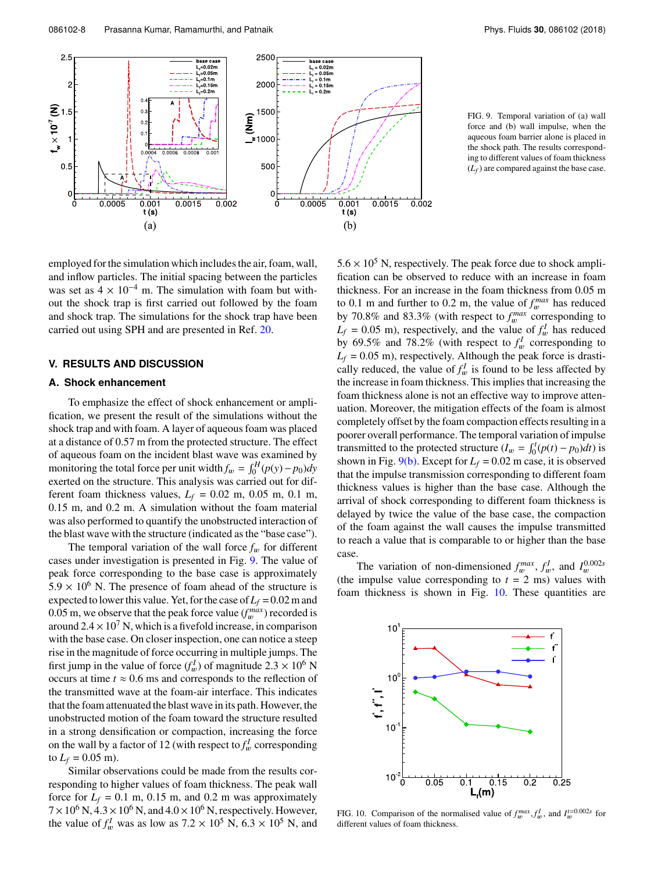

FIG. 9. Temporal variation of (a) wall force and (b) wall impulse, when the aqueous foam barrier alone is placed in the shock path. The results corresponding to different values of foam thickness  $(L_f)$  are compared against the base case.

employed for the simulation which includes the air, foam, wall, and inflow particles. The initial spacing between the particles was set as  $4 \times 10^{-4}$  m. The simulation with foam but without the shock trap is first carried out followed by the foam and shock trap. The simulations for the shock trap have been carried out using SPH and are presented in Ref. 20.

## **V. RESULTS AND DISCUSSION**

#### **A. Shock enhancement**

To emphasize the effect of shock enhancement or amplification, we present the result of the simulations without the shock trap and with foam. A layer of aqueous foam was placed at a distance of 0.57 m from the protected structure. The effect of aqueous foam on the incident blast wave was examined by monitoring the total force per unit width  $f_w = \int_0^H (p(y) - p_0) dy$ exerted on the structure. This analysis was carried out for different foam thickness values,  $L_f = 0.02$  m, 0.05 m, 0.1 m, 0.15 m, and 0.2 m. A simulation without the foam material was also performed to quantify the unobstructed interaction of the blast wave with the structure (indicated as the "base case").

The temporal variation of the wall force  $f_w$  for different cases under investigation is presented in Fig. 9. The value of peak force corresponding to the base case is approximately  $5.9 \times 10^6$  N. The presence of foam ahead of the structure is expected to lower this value. Yet, for the case of  $L_f = 0.02$  m and 0.05 m, we observe that the peak force value  $(f_w^{max})$  recorded is around  $2.4 \times 10^7$  N, which is a fivefold increase, in comparison with the base case. On closer inspection, one can notice a steep rise in the magnitude of force occurring in multiple jumps. The first jump in the value of force  $(f_w^I)$  of magnitude 2.3  $\times$  10<sup>6</sup> N occurs at time  $t \approx 0.6$  ms and corresponds to the reflection of the transmitted wave at the foam-air interface. This indicates that the foam attenuated the blast wave in its path. However, the unobstructed motion of the foam toward the structure resulted in a strong densification or compaction, increasing the force on the wall by a factor of 12 (with respect to  $f_w^I$  corresponding to  $L_f = 0.05$  m).

Similar observations could be made from the results corresponding to higher values of foam thickness. The peak wall force for  $L_f = 0.1$  m, 0.15 m, and 0.2 m was approximately  $7 \times 10^6$  N,  $4.3 \times 10^6$  N, and  $4.0 \times 10^6$  N, respectively. However, the value of  $f_w^I$  was as low as  $7.2 \times 10^5$  N,  $6.3 \times 10^5$  N, and

 $5.6 \times 10^5$  N, respectively. The peak force due to shock amplification can be observed to reduce with an increase in foam thickness. For an increase in the foam thickness from 0.05 m to 0.1 m and further to 0.2 m, the value of  $f_w^{max}$  has reduced by 70.8% and 83.3% (with respect to  $f_w^{max}$  corresponding to  $L_f = 0.05$  m), respectively, and the value of  $f_w^I$  has reduced by 69.5% and 78.2% (with respect to  $f_w^I$  corresponding to  $L_f$  = 0.05 m), respectively. Although the peak force is drastically reduced, the value of  $f_w^I$  is found to be less affected by the increase in foam thickness. This implies that increasing the foam thickness alone is not an effective way to improve attenuation. Moreover, the mitigation effects of the foam is almost completely offset by the foam compaction effects resulting in a poorer overall performance. The temporal variation of impulse transmitted to the protected structure  $(I_w = \int_0^t (p(t) - p_0) dt)$  is shown in Fig.  $9(b)$ . Except for  $L_f = 0.02$  m case, it is observed that the impulse transmission corresponding to different foam thickness values is higher than the base case. Although the arrival of shock corresponding to different foam thickness is delayed by twice the value of the base case, the compaction of the foam against the wall causes the impulse transmitted to reach a value that is comparable to or higher than the base case.

The variation of non-dimensioned  $f_w^{max}$ ,  $f_w^I$ , and  $I_w^{0.002s}$ (the impulse value corresponding to  $t = 2$  ms) values with foam thickness is shown in Fig. 10. These quantities are



FIG. 10. Comparison of the normalised value of  $f_w^{max}, f_w^I$ , and  $I_w^{t=0.002s}$  for different values of foam thickness.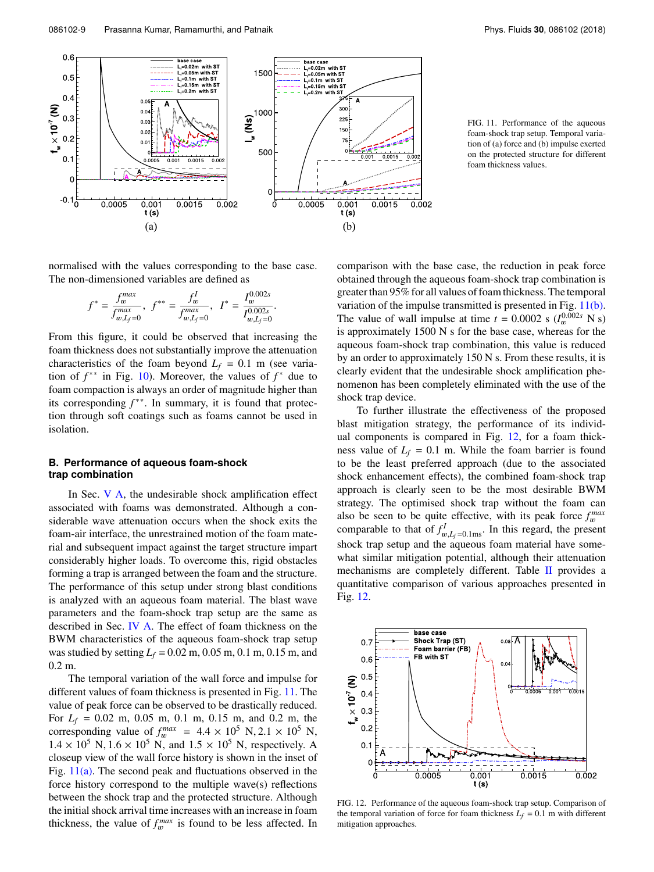

FIG. 11. Performance of the aqueous foam-shock trap setup. Temporal variation of (a) force and (b) impulse exerted on the protected structure for different foam thickness values.

normalised with the values corresponding to the base case. The non-dimensioned variables are defined as

$$
f^* = \frac{f_w^{max}}{f_{w,L_f=0}^{max}}, \ f^{**} = \frac{f_w^I}{f_{w,L_f=0}^{max}}, \ I^* = \frac{I_w^{0.002s}}{I_{w,L_f=0}^{0.002s}}.
$$

From this figure, it could be observed that increasing the foam thickness does not substantially improve the attenuation characteristics of the foam beyond  $L_f = 0.1$  m (see variation of  $f^{**}$  in Fig. 10). Moreover, the values of  $f^*$  due to foam compaction is always an order of magnitude higher than its corresponding *f* ∗∗. In summary, it is found that protection through soft coatings such as foams cannot be used in isolation.

## **B. Performance of aqueous foam-shock trap combination**

In Sec. V A, the undesirable shock amplification effect associated with foams was demonstrated. Although a considerable wave attenuation occurs when the shock exits the foam-air interface, the unrestrained motion of the foam material and subsequent impact against the target structure impart considerably higher loads. To overcome this, rigid obstacles forming a trap is arranged between the foam and the structure. The performance of this setup under strong blast conditions is analyzed with an aqueous foam material. The blast wave parameters and the foam-shock trap setup are the same as described in Sec. IV A. The effect of foam thickness on the BWM characteristics of the aqueous foam-shock trap setup was studied by setting *L<sup>f</sup>* = 0.02 m, 0.05 m, 0.1 m, 0.15 m, and 0.2 m.

The temporal variation of the wall force and impulse for different values of foam thickness is presented in Fig. 11. The value of peak force can be observed to be drastically reduced. For  $L_f$  = 0.02 m, 0.05 m, 0.1 m, 0.15 m, and 0.2 m, the corresponding value of  $f_w^{max} = 4.4 \times 10^5$  N,  $2.1 \times 10^5$  N,  $1.4 \times 10^5$  N,  $1.6 \times 10^5$  N, and  $1.5 \times 10^5$  N, respectively. A closeup view of the wall force history is shown in the inset of Fig.  $11(a)$ . The second peak and fluctuations observed in the force history correspond to the multiple wave(s) reflections between the shock trap and the protected structure. Although the initial shock arrival time increases with an increase in foam thickness, the value of  $f_w^{max}$  is found to be less affected. In

comparison with the base case, the reduction in peak force obtained through the aqueous foam-shock trap combination is greater than 95% for all values of foam thickness. The temporal variation of the impulse transmitted is presented in Fig. 11(b). The value of wall impulse at time  $t = 0.0002$  s ( $I_w^{0.002s}$  N s) is approximately 1500 N s for the base case, whereas for the aqueous foam-shock trap combination, this value is reduced by an order to approximately 150 N s. From these results, it is clearly evident that the undesirable shock amplification phenomenon has been completely eliminated with the use of the shock trap device.

To further illustrate the effectiveness of the proposed blast mitigation strategy, the performance of its individual components is compared in Fig. 12, for a foam thickness value of  $L_f = 0.1$  m. While the foam barrier is found to be the least preferred approach (due to the associated shock enhancement effects), the combined foam-shock trap approach is clearly seen to be the most desirable BWM strategy. The optimised shock trap without the foam can also be seen to be quite effective, with its peak force  $f_w^{max}$ comparable to that of  $f_{w,L_f=0.1\text{ms}}^I$ . In this regard, the present shock trap setup and the aqueous foam material have somewhat similar mitigation potential, although their attenuation mechanisms are completely different. Table II provides a quantitative comparison of various approaches presented in Fig. 12.



FIG. 12. Performance of the aqueous foam-shock trap setup. Comparison of the temporal variation of force for foam thickness  $L_f = 0.1$  m with different mitigation approaches.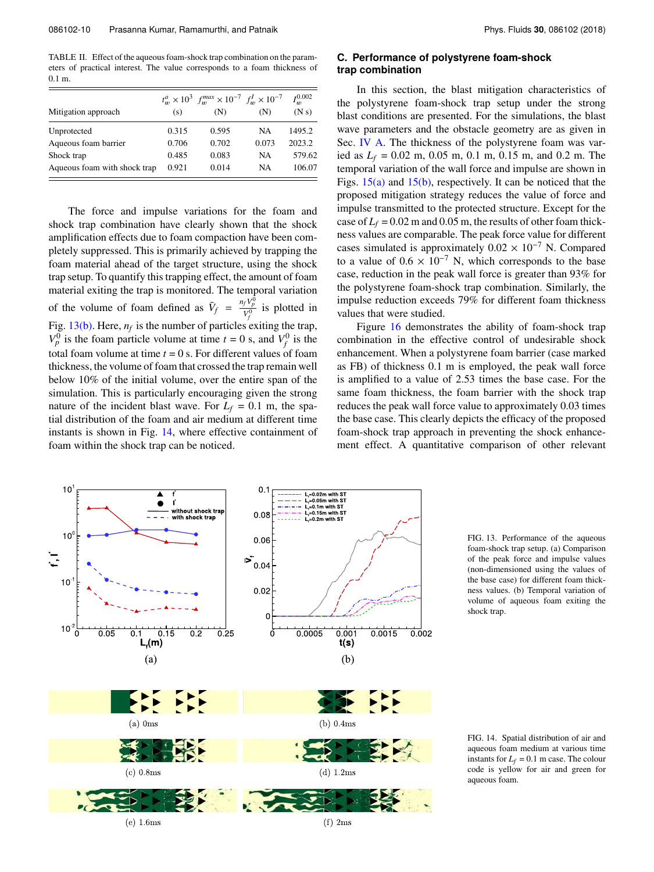TABLE II. Effect of the aqueous foam-shock trap combination on the parameters of practical interest. The value corresponds to a foam thickness of 0.1 m.

|                              |       | $t_m^a \times 10^3$ $f_m^{max} \times 10^{-7}$ $f_m^I \times 10^{-7}$ |       | $I_{w}^{0.002}$ |
|------------------------------|-------|-----------------------------------------------------------------------|-------|-----------------|
| Mitigation approach          | (s)   | (N)                                                                   | (N)   | (N s)           |
| Unprotected                  | 0.315 | 0.595                                                                 | NA    | 1495.2          |
| Aqueous foam barrier         | 0.706 | 0.702                                                                 | 0.073 | 2023.2          |
| Shock trap                   | 0.485 | 0.083                                                                 | NA    | 579.62          |
| Aqueous foam with shock trap | 0.921 | 0.014                                                                 | NA    | 106.07          |

The force and impulse variations for the foam and shock trap combination have clearly shown that the shock amplification effects due to foam compaction have been completely suppressed. This is primarily achieved by trapping the foam material ahead of the target structure, using the shock trap setup. To quantify this trapping effect, the amount of foam material exiting the trap is monitored. The temporal variation of the volume of foam defined as  $\bar{V}_f = \frac{n_f V_p^0}{V_p^0}$  is plotted in Fig. 13(b). Here,  $n_f$  is the number of particles exiting the trap,  $V_p^0$  is the foam particle volume at time  $t = 0$  s, and  $V_f^0$  is the total foam volume at time  $t = 0$  s. For different values of foam thickness, the volume of foam that crossed the trap remain well below 10% of the initial volume, over the entire span of the simulation. This is particularly encouraging given the strong nature of the incident blast wave. For  $L_f = 0.1$  m, the spatial distribution of the foam and air medium at different time instants is shown in Fig. 14, where effective containment of foam within the shock trap can be noticed.

## **C. Performance of polystyrene foam-shock trap combination**

In this section, the blast mitigation characteristics of the polystyrene foam-shock trap setup under the strong blast conditions are presented. For the simulations, the blast wave parameters and the obstacle geometry are as given in Sec. IV A. The thickness of the polystyrene foam was varied as  $L_f = 0.02$  m, 0.05 m, 0.1 m, 0.15 m, and 0.2 m. The temporal variation of the wall force and impulse are shown in Figs.  $15(a)$  and  $15(b)$ , respectively. It can be noticed that the proposed mitigation strategy reduces the value of force and impulse transmitted to the protected structure. Except for the case of  $L_f$  = 0.02 m and 0.05 m, the results of other foam thickness values are comparable. The peak force value for different cases simulated is approximately  $0.02 \times 10^{-7}$  N. Compared to a value of  $0.6 \times 10^{-7}$  N, which corresponds to the base case, reduction in the peak wall force is greater than 93% for the polystyrene foam-shock trap combination. Similarly, the impulse reduction exceeds 79% for different foam thickness values that were studied.

Figure 16 demonstrates the ability of foam-shock trap combination in the effective control of undesirable shock enhancement. When a polystyrene foam barrier (case marked as FB) of thickness 0.1 m is employed, the peak wall force is amplified to a value of 2.53 times the base case. For the same foam thickness, the foam barrier with the shock trap reduces the peak wall force value to approximately 0.03 times the base case. This clearly depicts the efficacy of the proposed foam-shock trap approach in preventing the shock enhancement effect. A quantitative comparison of other relevant



FIG. 13. Performance of the aqueous foam-shock trap setup. (a) Comparison of the peak force and impulse values (non-dimensioned using the values of the base case) for different foam thickness values. (b) Temporal variation of volume of aqueous foam exiting the shock trap.

FIG. 14. Spatial distribution of air and aqueous foam medium at various time instants for  $L_f = 0.1$  m case. The colour code is yellow for air and green for aqueous foam.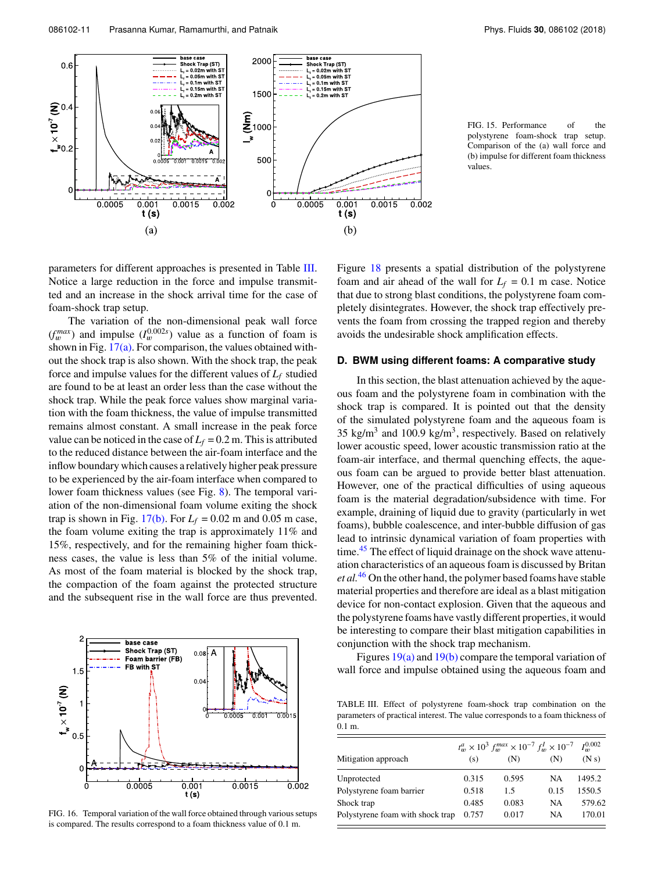

FIG. 15. Performance of the polystyrene foam-shock trap setup. Comparison of the (a) wall force and (b) impulse for different foam thickness values.

parameters for different approaches is presented in Table III. Notice a large reduction in the force and impulse transmitted and an increase in the shock arrival time for the case of foam-shock trap setup.

The variation of the non-dimensional peak wall force  $(f_w^{max})$  and impulse  $(I_w^{0.002s})$  value as a function of foam is shown in Fig.  $17(a)$ . For comparison, the values obtained without the shock trap is also shown. With the shock trap, the peak force and impulse values for the different values of *L<sup>f</sup>* studied are found to be at least an order less than the case without the shock trap. While the peak force values show marginal variation with the foam thickness, the value of impulse transmitted remains almost constant. A small increase in the peak force value can be noticed in the case of  $L_f = 0.2$  m. This is attributed to the reduced distance between the air-foam interface and the inflow boundary which causes a relatively higher peak pressure to be experienced by the air-foam interface when compared to lower foam thickness values (see Fig. 8). The temporal variation of the non-dimensional foam volume exiting the shock trap is shown in Fig.  $17(b)$ . For  $L_f = 0.02$  m and 0.05 m case, the foam volume exiting the trap is approximately 11% and 15%, respectively, and for the remaining higher foam thickness cases, the value is less than 5% of the initial volume. As most of the foam material is blocked by the shock trap, the compaction of the foam against the protected structure and the subsequent rise in the wall force are thus prevented.



FIG. 16. Temporal variation of the wall force obtained through various setups is compared. The results correspond to a foam thickness value of 0.1 m.

Figure 18 presents a spatial distribution of the polystyrene foam and air ahead of the wall for  $L_f = 0.1$  m case. Notice that due to strong blast conditions, the polystyrene foam completely disintegrates. However, the shock trap effectively prevents the foam from crossing the trapped region and thereby avoids the undesirable shock amplification effects.

## **D. BWM using different foams: A comparative study**

In this section, the blast attenuation achieved by the aqueous foam and the polystyrene foam in combination with the shock trap is compared. It is pointed out that the density of the simulated polystyrene foam and the aqueous foam is 35 kg/m<sup>3</sup> and 100.9 kg/m<sup>3</sup>, respectively. Based on relatively lower acoustic speed, lower acoustic transmission ratio at the foam-air interface, and thermal quenching effects, the aqueous foam can be argued to provide better blast attenuation. However, one of the practical difficulties of using aqueous foam is the material degradation/subsidence with time. For example, draining of liquid due to gravity (particularly in wet foams), bubble coalescence, and inter-bubble diffusion of gas lead to intrinsic dynamical variation of foam properties with time.<sup>45</sup> The effect of liquid drainage on the shock wave attenuation characteristics of an aqueous foam is discussed by Britan *et al.*<sup>46</sup> On the other hand, the polymer based foams have stable material properties and therefore are ideal as a blast mitigation device for non-contact explosion. Given that the aqueous and the polystyrene foams have vastly different properties, it would be interesting to compare their blast mitigation capabilities in conjunction with the shock trap mechanism.

Figures  $19(a)$  and  $19(b)$  compare the temporal variation of wall force and impulse obtained using the aqueous foam and

TABLE III. Effect of polystyrene foam-shock trap combination on the parameters of practical interest. The value corresponds to a foam thickness of 0.1 m.

|                                  | $t_w^a \times 10^3 f_w^{max} \times 10^{-7} f_w^I \times 10^{-7}$ |       |      |        |
|----------------------------------|-------------------------------------------------------------------|-------|------|--------|
| Mitigation approach              | (S)                                                               | (N)   | (N)  | (N s)  |
| Unprotected                      | 0.315                                                             | 0.595 | NA   | 1495.2 |
| Polystyrene foam barrier         | 0.518                                                             | 1.5   | 0.15 | 1550.5 |
| Shock trap                       | 0.485                                                             | 0.083 | NA   | 579.62 |
| Polystyrene foam with shock trap | 0.757                                                             | 0.017 | NA   | 170.01 |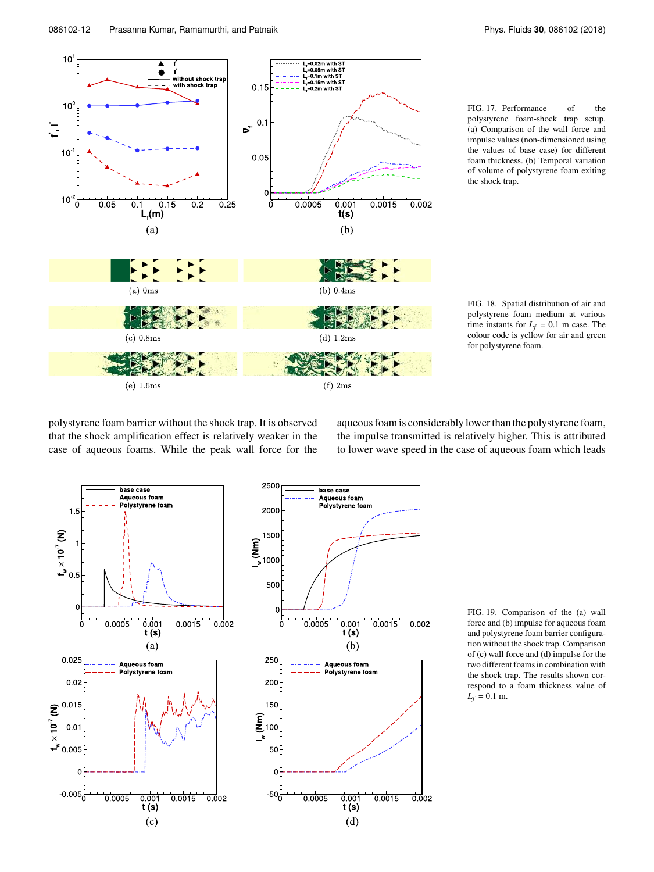

FIG. 17. Performance of the polystyrene foam-shock trap setup. (a) Comparison of the wall force and impulse values (non-dimensioned using the values of base case) for different foam thickness. (b) Temporal variation of volume of polystyrene foam exiting the shock trap.

FIG. 18. Spatial distribution of air and polystyrene foam medium at various time instants for  $L_f = 0.1$  m case. The colour code is yellow for air and green for polystyrene foam.

polystyrene foam barrier without the shock trap. It is observed that the shock amplification effect is relatively weaker in the case of aqueous foams. While the peak wall force for the aqueous foam is considerably lower than the polystyrene foam, the impulse transmitted is relatively higher. This is attributed to lower wave speed in the case of aqueous foam which leads

 $0.0015$ 

 $0.002$ 

 $0.002$ 

 $0.0015$ 



FIG. 19. Comparison of the (a) wall force and (b) impulse for aqueous foam and polystyrene foam barrier configuration without the shock trap. Comparison of (c) wall force and (d) impulse for the two different foams in combination with the shock trap. The results shown correspond to a foam thickness value of  $L_f = 0.1$  m.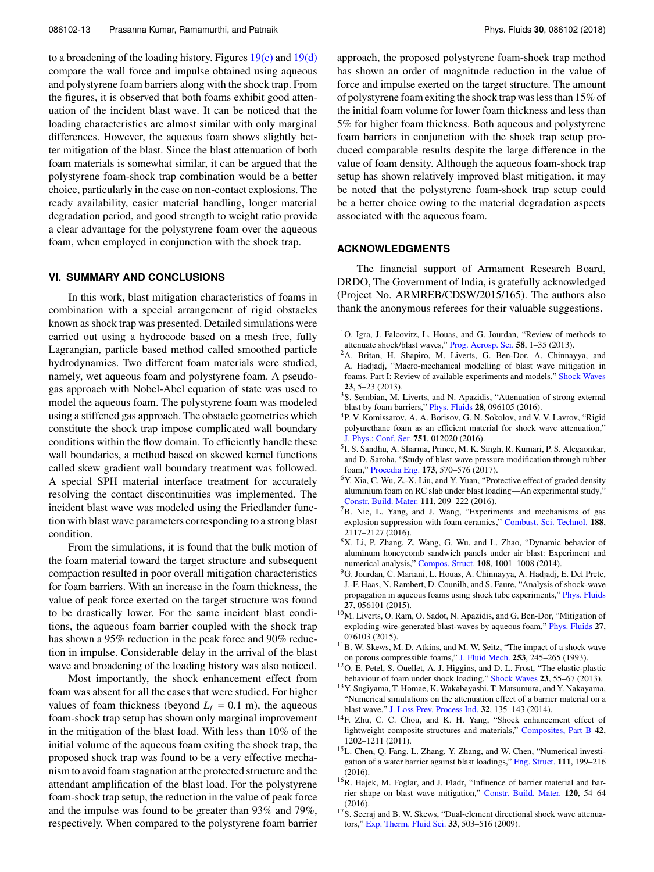to a broadening of the loading history. Figures  $19(c)$  and  $19(d)$ compare the wall force and impulse obtained using aqueous and polystyrene foam barriers along with the shock trap. From the figures, it is observed that both foams exhibit good attenuation of the incident blast wave. It can be noticed that the loading characteristics are almost similar with only marginal differences. However, the aqueous foam shows slightly better mitigation of the blast. Since the blast attenuation of both foam materials is somewhat similar, it can be argued that the polystyrene foam-shock trap combination would be a better choice, particularly in the case on non-contact explosions. The ready availability, easier material handling, longer material degradation period, and good strength to weight ratio provide a clear advantage for the polystyrene foam over the aqueous foam, when employed in conjunction with the shock trap.

## **VI. SUMMARY AND CONCLUSIONS**

In this work, blast mitigation characteristics of foams in combination with a special arrangement of rigid obstacles known as shock trap was presented. Detailed simulations were carried out using a hydrocode based on a mesh free, fully Lagrangian, particle based method called smoothed particle hydrodynamics. Two different foam materials were studied, namely, wet aqueous foam and polystyrene foam. A pseudogas approach with Nobel-Abel equation of state was used to model the aqueous foam. The polystyrene foam was modeled using a stiffened gas approach. The obstacle geometries which constitute the shock trap impose complicated wall boundary conditions within the flow domain. To efficiently handle these wall boundaries, a method based on skewed kernel functions called skew gradient wall boundary treatment was followed. A special SPH material interface treatment for accurately resolving the contact discontinuities was implemented. The incident blast wave was modeled using the Friedlander function with blast wave parameters corresponding to a strong blast condition.

From the simulations, it is found that the bulk motion of the foam material toward the target structure and subsequent compaction resulted in poor overall mitigation characteristics for foam barriers. With an increase in the foam thickness, the value of peak force exerted on the target structure was found to be drastically lower. For the same incident blast conditions, the aqueous foam barrier coupled with the shock trap has shown a 95% reduction in the peak force and 90% reduction in impulse. Considerable delay in the arrival of the blast wave and broadening of the loading history was also noticed.

Most importantly, the shock enhancement effect from foam was absent for all the cases that were studied. For higher values of foam thickness (beyond  $L_f = 0.1$  m), the aqueous foam-shock trap setup has shown only marginal improvement in the mitigation of the blast load. With less than 10% of the initial volume of the aqueous foam exiting the shock trap, the proposed shock trap was found to be a very effective mechanism to avoid foam stagnation at the protected structure and the attendant amplification of the blast load. For the polystyrene foam-shock trap setup, the reduction in the value of peak force and the impulse was found to be greater than 93% and 79%, respectively. When compared to the polystyrene foam barrier approach, the proposed polystyrene foam-shock trap method has shown an order of magnitude reduction in the value of force and impulse exerted on the target structure. The amount of polystyrene foam exiting the shock trap was less than 15% of the initial foam volume for lower foam thickness and less than 5% for higher foam thickness. Both aqueous and polystyrene foam barriers in conjunction with the shock trap setup produced comparable results despite the large difference in the value of foam density. Although the aqueous foam-shock trap setup has shown relatively improved blast mitigation, it may be noted that the polystyrene foam-shock trap setup could be a better choice owing to the material degradation aspects associated with the aqueous foam.

## **ACKNOWLEDGMENTS**

The financial support of Armament Research Board, DRDO, The Government of India, is gratefully acknowledged (Project No. ARMREB/CDSW/2015/165). The authors also thank the anonymous referees for their valuable suggestions.

- <sup>1</sup>O. Igra, J. Falcovitz, L. Houas, and G. Jourdan, "Review of methods to attenuate shock/blast waves," Prog. Aerosp. Sci. **58**, 1–35 (2013).
- <sup>2</sup>A. Britan, H. Shapiro, M. Liverts, G. Ben-Dor, A. Chinnayya, and A. Hadjadj, "Macro-mechanical modelling of blast wave mitigation in foams. Part I: Review of available experiments and models," Shock Waves **23**, 5–23 (2013).
- <sup>3</sup>S. Sembian, M. Liverts, and N. Apazidis, "Attenuation of strong external blast by foam barriers," Phys. Fluids **28**, 096105 (2016).
- <sup>4</sup>P. V. Komissarov, A. A. Borisov, G. N. Sokolov, and V. V. Lavrov, "Rigid polyurethane foam as an efficient material for shock wave attenuation," J. Phys.: Conf. Ser. **751**, 012020 (2016).
- 5 I. S. Sandhu, A. Sharma, Prince, M. K. Singh, R. Kumari, P. S. Alegaonkar, and D. Saroha, "Study of blast wave pressure modification through rubber foam," Procedia Eng. **173**, 570–576 (2017).
- <sup>6</sup>Y. Xia, C. Wu, Z.-X. Liu, and Y. Yuan, "Protective effect of graded density aluminium foam on RC slab under blast loading—An experimental study," Constr. Build. Mater. **111**, 209–222 (2016).
- <sup>7</sup>B. Nie, L. Yang, and J. Wang, "Experiments and mechanisms of gas explosion suppression with foam ceramics," Combust. Sci. Technol. **188**, 2117–2127 (2016).
- <sup>8</sup>X. Li, P. Zhang, Z. Wang, G. Wu, and L. Zhao, "Dynamic behavior of aluminum honeycomb sandwich panels under air blast: Experiment and numerical analysis," Compos. Struct. **108**, 1001–1008 (2014).
- <sup>9</sup>G. Jourdan, C. Mariani, L. Houas, A. Chinnayya, A. Hadjadj, E. Del Prete, J.-F. Haas, N. Rambert, D. Counilh, and S. Faure, "Analysis of shock-wave propagation in aqueous foams using shock tube experiments," Phys. Fluids **27**, 056101 (2015).
- <sup>10</sup>M. Liverts, O. Ram, O. Sadot, N. Apazidis, and G. Ben-Dor, "Mitigation of exploding-wire-generated blast-waves by aqueous foam," Phys. Fluids **27**, 076103 (2015).
- <sup>11</sup>B. W. Skews, M. D. Atkins, and M. W. Seitz, "The impact of a shock wave on porous compressible foams," J. Fluid Mech. **253**, 245–265 (1993).
- <sup>12</sup>O. E. Petel, S. Ouellet, A. J. Higgins, and D. L. Frost, "The elastic-plastic behaviour of foam under shock loading," Shock Waves **23**, 55–67 (2013).
- <sup>13</sup>Y. Sugiyama, T. Homae, K. Wakabayashi, T. Matsumura, and Y. Nakayama, "Numerical simulations on the attenuation effect of a barrier material on a blast wave," J. Loss Prev. Process Ind. **32**, 135–143 (2014).
- <sup>14</sup>F. Zhu, C. C. Chou, and K. H. Yang, "Shock enhancement effect of lightweight composite structures and materials," Composites, Part B **42**, 1202–1211 (2011).
- <sup>15</sup>L. Chen, Q. Fang, L. Zhang, Y. Zhang, and W. Chen, "Numerical investigation of a water barrier against blast loadings," Eng. Struct. **111**, 199–216 (2016).
- <sup>16</sup>R. Hajek, M. Foglar, and J. Fladr, "Influence of barrier material and barrier shape on blast wave mitigation," Constr. Build. Mater. **120**, 54–64 (2016).
- <sup>17</sup>S. Seeraj and B. W. Skews, "Dual-element directional shock wave attenuators," Exp. Therm. Fluid Sci. **33**, 503–516 (2009).